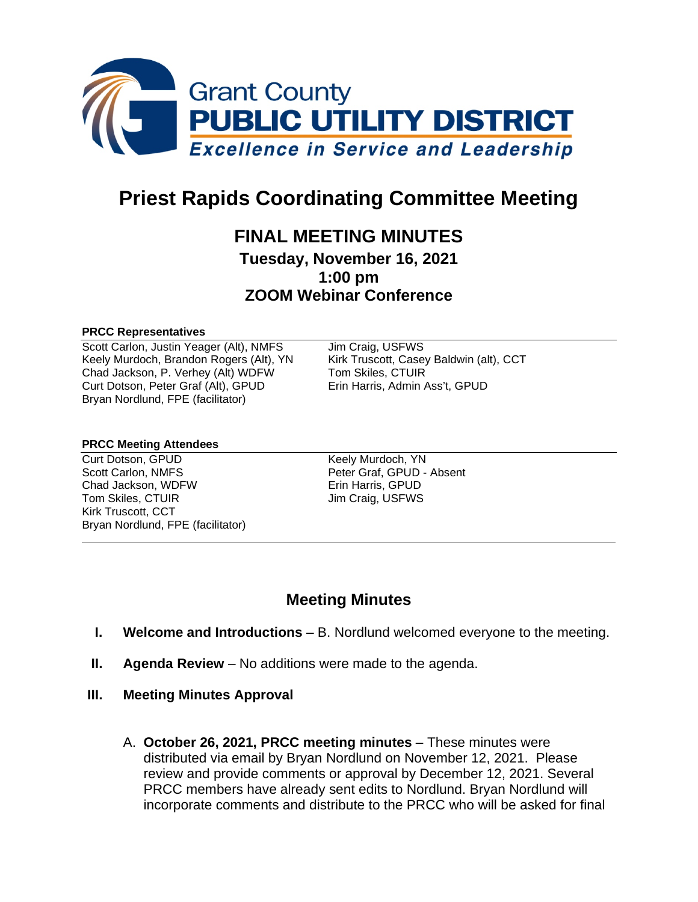

# **Priest Rapids Coordinating Committee Meeting**

# **FINAL MEETING MINUTES**

**Tuesday, November 16, 2021 1:00 pm ZOOM Webinar Conference**

#### **PRCC Representatives**

Scott Carlon, Justin Yeager (Alt), NMFS Jim Craig, USFWS Keely Murdoch, Brandon Rogers (Alt), YN Kirk Truscott, Casey Baldwin (alt), CCT Chad Jackson, P. Verhey (Alt) WDFW Tom Skiles, CTUIR<br>Curt Dotson, Peter Graf (Alt), GPUD Erin Harris, Admin Ass't, GPUD Curt Dotson, Peter Graf (Alt), GPUD Bryan Nordlund, FPE (facilitator)

#### **PRCC Meeting Attendees**

Curt Dotson, GPUD Keely Murdoch, YN Scott Carlon, NMFS **Peter Graf, GPUD - Absent** Chad Jackson, WDFW Erin Harris, GPUD<br>
Tom Skiles. CTUIR
Tom Skiles CTUIR Kirk Truscott, CCT Bryan Nordlund, FPE (facilitator)

Jim Craig, USFWS

# **Meeting Minutes**

- **I. Welcome and Introductions** B. Nordlund welcomed everyone to the meeting.
- **II. Agenda Review**  No additions were made to the agenda.
- **III. Meeting Minutes Approval** 
	- A. **October 26, 2021, PRCC meeting minutes** These minutes were distributed via email by Bryan Nordlund on November 12, 2021. Please review and provide comments or approval by December 12, 2021. Several PRCC members have already sent edits to Nordlund. Bryan Nordlund will incorporate comments and distribute to the PRCC who will be asked for final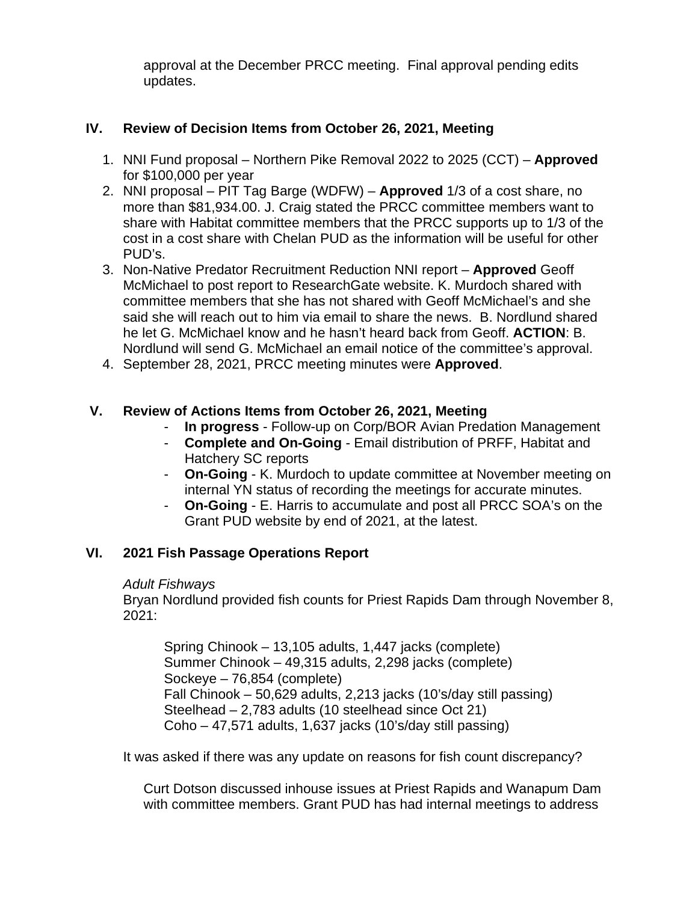approval at the December PRCC meeting. Final approval pending edits updates.

# **IV. Review of Decision Items from October 26, 2021, Meeting**

- 1. NNI Fund proposal Northern Pike Removal 2022 to 2025 (CCT) **Approved** for \$100,000 per year
- 2. NNI proposal PIT Tag Barge (WDFW) **Approved** 1/3 of a cost share, no more than \$81,934.00. J. Craig stated the PRCC committee members want to share with Habitat committee members that the PRCC supports up to 1/3 of the cost in a cost share with Chelan PUD as the information will be useful for other PUD's.
- 3. Non-Native Predator Recruitment Reduction NNI report **Approved** Geoff McMichael to post report to ResearchGate website. K. Murdoch shared with committee members that she has not shared with Geoff McMichael's and she said she will reach out to him via email to share the news. B. Nordlund shared he let G. McMichael know and he hasn't heard back from Geoff. **ACTION**: B. Nordlund will send G. McMichael an email notice of the committee's approval.
- 4. September 28, 2021, PRCC meeting minutes were **Approved**.

# **V. Review of Actions Items from October 26, 2021, Meeting**

- **In progress** Follow-up on Corp/BOR Avian Predation Management
- **Complete and On-Going** Email distribution of PRFF, Habitat and Hatchery SC reports
- **On-Going** K. Murdoch to update committee at November meeting on internal YN status of recording the meetings for accurate minutes.
- **On-Going** E. Harris to accumulate and post all PRCC SOA's on the Grant PUD website by end of 2021, at the latest.

# **VI. 2021 Fish Passage Operations Report**

#### *Adult Fishways*

Bryan Nordlund provided fish counts for Priest Rapids Dam through November 8, 2021:

Spring Chinook – 13,105 adults, 1,447 jacks (complete) Summer Chinook – 49,315 adults, 2,298 jacks (complete) Sockeye – 76,854 (complete) Fall Chinook – 50,629 adults, 2,213 jacks (10's/day still passing) Steelhead – 2,783 adults (10 steelhead since Oct 21) Coho – 47,571 adults, 1,637 jacks (10's/day still passing)

It was asked if there was any update on reasons for fish count discrepancy?

Curt Dotson discussed inhouse issues at Priest Rapids and Wanapum Dam with committee members. Grant PUD has had internal meetings to address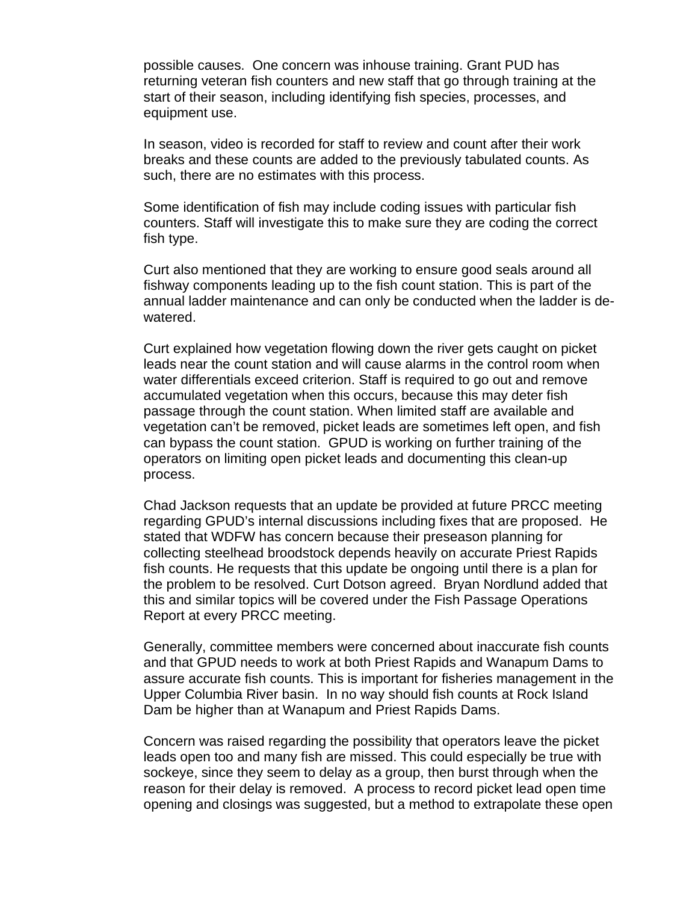possible causes. One concern was inhouse training. Grant PUD has returning veteran fish counters and new staff that go through training at the start of their season, including identifying fish species, processes, and equipment use.

In season, video is recorded for staff to review and count after their work breaks and these counts are added to the previously tabulated counts. As such, there are no estimates with this process.

Some identification of fish may include coding issues with particular fish counters. Staff will investigate this to make sure they are coding the correct fish type.

Curt also mentioned that they are working to ensure good seals around all fishway components leading up to the fish count station. This is part of the annual ladder maintenance and can only be conducted when the ladder is dewatered.

Curt explained how vegetation flowing down the river gets caught on picket leads near the count station and will cause alarms in the control room when water differentials exceed criterion. Staff is required to go out and remove accumulated vegetation when this occurs, because this may deter fish passage through the count station. When limited staff are available and vegetation can't be removed, picket leads are sometimes left open, and fish can bypass the count station. GPUD is working on further training of the operators on limiting open picket leads and documenting this clean-up process.

Chad Jackson requests that an update be provided at future PRCC meeting regarding GPUD's internal discussions including fixes that are proposed. He stated that WDFW has concern because their preseason planning for collecting steelhead broodstock depends heavily on accurate Priest Rapids fish counts. He requests that this update be ongoing until there is a plan for the problem to be resolved. Curt Dotson agreed. Bryan Nordlund added that this and similar topics will be covered under the Fish Passage Operations Report at every PRCC meeting.

Generally, committee members were concerned about inaccurate fish counts and that GPUD needs to work at both Priest Rapids and Wanapum Dams to assure accurate fish counts. This is important for fisheries management in the Upper Columbia River basin. In no way should fish counts at Rock Island Dam be higher than at Wanapum and Priest Rapids Dams.

Concern was raised regarding the possibility that operators leave the picket leads open too and many fish are missed. This could especially be true with sockeye, since they seem to delay as a group, then burst through when the reason for their delay is removed. A process to record picket lead open time opening and closings was suggested, but a method to extrapolate these open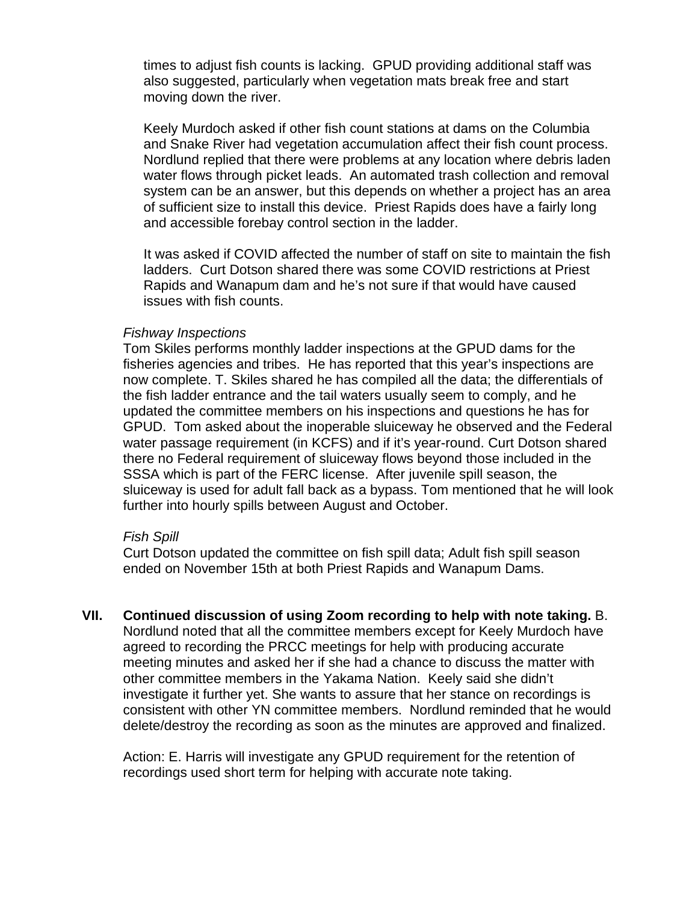times to adjust fish counts is lacking. GPUD providing additional staff was also suggested, particularly when vegetation mats break free and start moving down the river.

Keely Murdoch asked if other fish count stations at dams on the Columbia and Snake River had vegetation accumulation affect their fish count process. Nordlund replied that there were problems at any location where debris laden water flows through picket leads. An automated trash collection and removal system can be an answer, but this depends on whether a project has an area of sufficient size to install this device. Priest Rapids does have a fairly long and accessible forebay control section in the ladder.

It was asked if COVID affected the number of staff on site to maintain the fish ladders. Curt Dotson shared there was some COVID restrictions at Priest Rapids and Wanapum dam and he's not sure if that would have caused issues with fish counts.

#### *Fishway Inspections*

Tom Skiles performs monthly ladder inspections at the GPUD dams for the fisheries agencies and tribes. He has reported that this year's inspections are now complete. T. Skiles shared he has compiled all the data; the differentials of the fish ladder entrance and the tail waters usually seem to comply, and he updated the committee members on his inspections and questions he has for GPUD. Tom asked about the inoperable sluiceway he observed and the Federal water passage requirement (in KCFS) and if it's year-round. Curt Dotson shared there no Federal requirement of sluiceway flows beyond those included in the SSSA which is part of the FERC license. After juvenile spill season, the sluiceway is used for adult fall back as a bypass. Tom mentioned that he will look further into hourly spills between August and October.

#### *Fish Spill*

Curt Dotson updated the committee on fish spill data; Adult fish spill season ended on November 15th at both Priest Rapids and Wanapum Dams.

**VII. Continued discussion of using Zoom recording to help with note taking.** B. Nordlund noted that all the committee members except for Keely Murdoch have agreed to recording the PRCC meetings for help with producing accurate meeting minutes and asked her if she had a chance to discuss the matter with other committee members in the Yakama Nation. Keely said she didn't investigate it further yet. She wants to assure that her stance on recordings is consistent with other YN committee members. Nordlund reminded that he would delete/destroy the recording as soon as the minutes are approved and finalized.

Action: E. Harris will investigate any GPUD requirement for the retention of recordings used short term for helping with accurate note taking.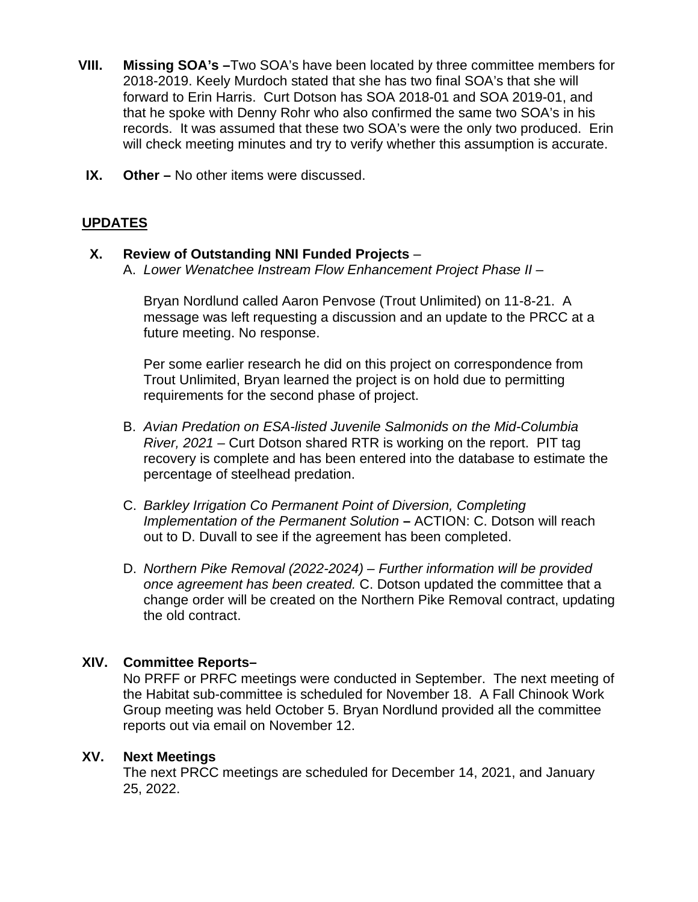- **VIII. Missing SOA's –**Two SOA's have been located by three committee members for 2018-2019. Keely Murdoch stated that she has two final SOA's that she will forward to Erin Harris. Curt Dotson has SOA 2018-01 and SOA 2019-01, and that he spoke with Denny Rohr who also confirmed the same two SOA's in his records. It was assumed that these two SOA's were the only two produced. Erin will check meeting minutes and try to verify whether this assumption is accurate.
- **IX. Other –** No other items were discussed.

# **UPDATES**

# **X. Review of Outstanding NNI Funded Projects** –

A. *Lower Wenatchee Instream Flow Enhancement Project Phase II* –

Bryan Nordlund called Aaron Penvose (Trout Unlimited) on 11-8-21. A message was left requesting a discussion and an update to the PRCC at a future meeting. No response.

Per some earlier research he did on this project on correspondence from Trout Unlimited, Bryan learned the project is on hold due to permitting requirements for the second phase of project.

- B. *Avian Predation on ESA-listed Juvenile Salmonids on the Mid-Columbia River, 2021* – Curt Dotson shared RTR is working on the report. PIT tag recovery is complete and has been entered into the database to estimate the percentage of steelhead predation.
- C. *Barkley Irrigation Co Permanent Point of Diversion, Completing Implementation of the Permanent Solution* **–** ACTION: C. Dotson will reach out to D. Duvall to see if the agreement has been completed.
- D. *Northern Pike Removal (2022-2024) – Further information will be provided once agreement has been created.* C. Dotson updated the committee that a change order will be created on the Northern Pike Removal contract, updating the old contract.

# **XIV. Committee Reports–**

No PRFF or PRFC meetings were conducted in September. The next meeting of the Habitat sub-committee is scheduled for November 18. A Fall Chinook Work Group meeting was held October 5. Bryan Nordlund provided all the committee reports out via email on November 12.

# **XV. Next Meetings**

The next PRCC meetings are scheduled for December 14, 2021, and January 25, 2022.